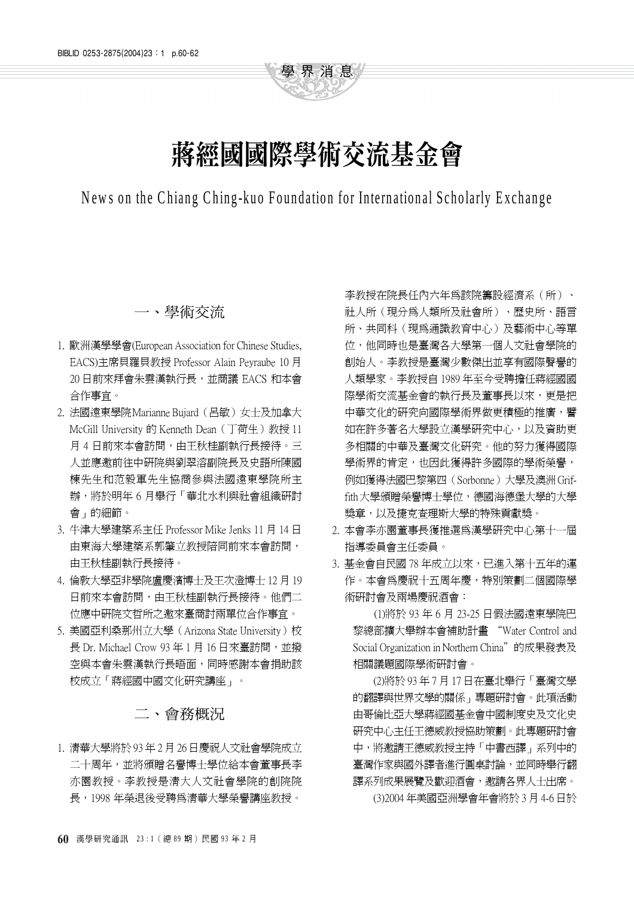# 蔣經國國際學術交流基金會

學界消息

News on the Chiang Ching-kuo Foundation for International Scholarly Exchange

# 一、學術交流

- 1. 歐洲漢學學會(European Association for Chinese Studies, EACS)主席貝羅貝教授 Professor Alain Peyraube 10 月 20 日前來拜會朱雲漢執行長,並商議 EACS 和本會 合作事宜。
- 2. 法國遠東學院 Marianne Bujard (呂敏) 女士及加拿大 McGill University 的 Kenneth Dean (丁荷生)教授 11 月 4 日前來本會訪問,由王秋桂副執行長接待。三 人並應激前往中研院與劉翠溶副院長及史語所陳國 棟先生和范毅軍先生協商參與法國遠東學院所主 辦,將於明年 6 月舉行「華北水利與社會組織研討 會」的細節。
- 3. 牛津大學建築系主任 Professor Mike Jenks 11 月 14 日 由東海大學建築系郭肇立教授陪同前來本會訪問, 由王秋桂副執行長接待。
- 4. 倫敦大學亞非學院盧慶濱博士及王次澄博士 12 月 19 日前來本會訪問,由王秋桂副執行長接待。他們二 位應㆗研院文哲所之邀來臺商討兩單位合作事宜。
- 5. 美國亞利桑那州立大學(Arizona State University)校 長 Dr. Michael Crow 93年1月16日來臺訪問,並撥 空與本會朱雲漢執行長晤面,同時感謝本會捐助該 校成立「蔣經國中國文化研究講座」。

# 二、會務概況

1. 清華大學將於 93 年 2 月 26 日慶祝㆟文社會學院成立 二十周年,並將頒贈名譽博士學位給本會董事長李 亦園教授。李教授是清大㆟文社會學院的創院院 長,1998 年榮退後受聘為清華大學榮譽講座教授。

李教授在院長任內六年為該院籌設經濟系(所)、 社人所(現分為人類所及社會所)、歷史所、語言 所、共同科(現為通識教育中心)及藝術中心等單 位,他同時也是臺灣各大學第㆒個㆟文社會學院的 創始人。李教授是臺灣少數傑出並享有國際聲譽的 ㆟類學家。李教授自 1989 年至今受聘擔任蔣經國國 際學術交流基金會的執行長及董事長以來,更是把 中華文化的研究向國際學術界做更積極的推廣,譬 如在許多著名大學設立漢學研究中心,以及資助更 多相關的中華及臺灣文化研究。他的努力獲得國際 學術界的肯定,也因此獲得許多國際的學術榮譽, 例如獲得法國巴黎第㆕(Sorbonne)大學及澳洲Griffith大學頒贈榮譽博士學位,德國海德堡大學的大學 獎章,以及捷克查理斯大學的特殊貢獻獎。

- 2. 本會李亦園董事長獲推選爲漢學研究中心第十一屆 指導委員會主任委員。
- 3. 基金會自民國 78 年成立以來,已進入第十五年的運 作。本會為慶祝十五周年慶,特別策劃二個國際學 術研討會及兩場慶祝酒會:

(1)將於 93 年 6 月 23-25 日假法國遠東學院巴 黎總部擴大舉辦本會補助計畫 "Water Control and Social Organization in Northern China"的成果發表及 相關議題國際學術研討會。

(2)將於 93 年 7 月 17 日在臺北舉行「臺灣文學 的翻譯與世界文學的關係」專題研討會。此項活動 由哥倫比亞大學蔣經國基金會中國制度史及文化史 研究中心主任王德威教授協助策劃。此專題研討會 中,將邀請王德威教授主持「中書西譯」系列中的 臺灣作家與國外譯者進行圓桌討論,並同時舉行翻 譯系列成果展覽及歡迎酒會,邀請各界人士出席。

(3)2004 年美國亞洲學會年會將於 3 月 4-6 日於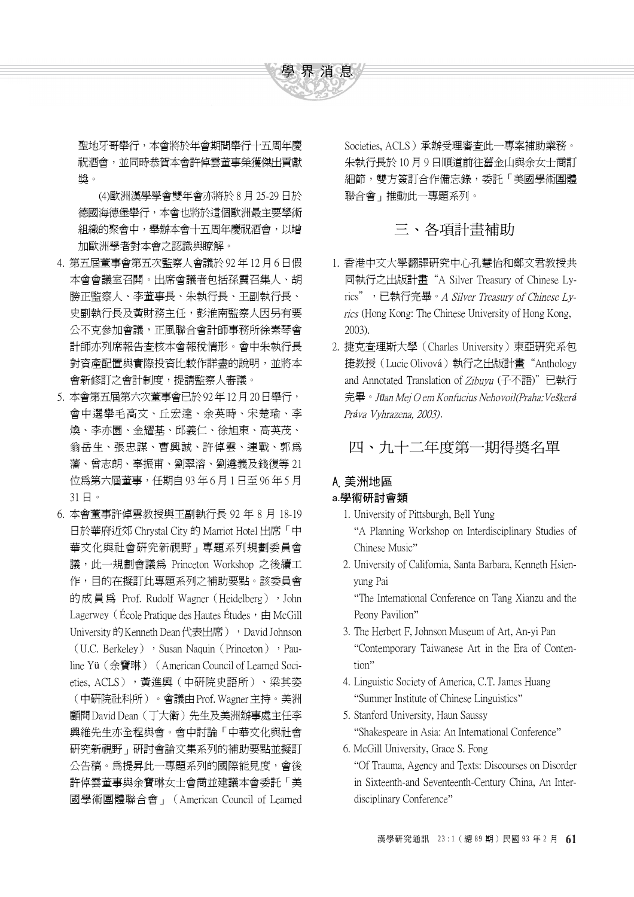

聖地牙哥舉行,本會將於年會期間舉行十五周年慶 祝酒會,並同時恭賀本會許倬雲董事榮獲傑出貢獻 獎。

(4)歐洲漢學學會雙年會亦將於 8 月 25-29 日於 德國海德堡舉行,本會也將於這個歐洲最主要學術 組織的聚會中,舉辦本會十五周年慶祝酒會,以增 加歐洲學者對本會之認識與瞭解。

- 4. 第五屆董事會第五次監察㆟會議於 92 年 12 月 6 日假 本會會議室召開。出席會議者包括孫震召集人、胡 勝正監察㆟、李董事長、朱執行長、王副執行長、 史副執行長及黃財務主任,彭淮南監察人因另有要 公不克參加會議,正風聯合會計師事務所徐素琴會 計師亦列席報告査核本會報稅情形。會中朱執行長 對資產配置與實際投資比較作詳盡的說明,並將本 會新修訂之會計制度,提請監察人審議。
- 5. 本會第五屆第六次董事會已於 92年 12月 20日舉行, 會中選舉毛高文、丘宏達、余英時、宋楚瑜、李 煥、李亦園、金耀基、邱義仁、徐旭東、高英茂、 翁岳生、張忠謀、曹興誠、許倬雲、連戰、郭為 藩、曾志朗、辜振甫、劉翠溶、劉遵義及錢復等 21 位為第六屆董事,任期自 93 年 6 月 1 日至 96 年 5 月 31 日。
- 6. 本會董事許倬雲教授與王副執行長 92 年 8 月 18-19 日於華府沂郊 Chrystal City 的 Marriot Hotel 出席「中 華文化與社會研究新視野」專題系列規劃委員會 議,此一規劃會議為 Princeton Workshop 之後續工 作,目的在擬訂此專題系列之補助要點。該委員會 的成員為 Prof. Rudolf Wagner (Heidelberg), John Lagerwey (École Pratique des Hautes Études,  $\pm$  McGill University 的 Kenneth Dean 代表出席), David Johnson (U.C. Berkeley), Susan Naquin (Princeton), Pauline Yü (余寶琳) (American Council of Learned Societies, ACLS), 黃進興(中研院史語所)、梁其姿 (中研院社科所)。會議由 Prof. Wagner 主持。美洲 顧問David Dean (丁大衛)先生及美洲辦事處主任李 興維先生亦全程與會。會中討論「中華文化與社會 研究新視野」研討會論文集系列的補助要點並擬訂 公告稿。為提昇此一專題系列的國際能見度,會後 許倬雲董事與余寶琳女士會商並建議本會委託「美 國學術團體聯合會」(American Council of Learned

Societies, ACLS)承辦受理審查此㆒專案補助業務。 朱執行長於 10 月 9 日順道前往舊金山與余女士商訂 細節,雙方簽訂合作備忘錄,委託「美國學術團體 聯合會」推動此㆒專題系列。

# 三、各項計畫補助

- 1. 香港中文大學翻譯研究中心孔慧怡和鄭文君教授共 同執行之出版計畫"A Silver Treasury of Chinese Lyrics", 已執行完畢。A Silver Treasury of Chinese Lyrics (Hong Kong: The Chinese University of Hong Kong, 2003).
- 2. 捷克查理斯大學(Charles University)東亞研究系包 捷教授(Lucie Olivová)執行之出版計畫"Anthology and Annotated Translation of Zibuvu (子不語)"已執行 完畢。Jüan Mei O em Konfucius Nehovoil(Praha: Veškerá Práva Vyhrazena, 2003).

四、九十二年度第一期得獎名單

# A.美洲地區

#### a.學術研討會類

- 1. University of Pittsburgh, Bell Yung A Planning Workshop on Interdisciplinary Studies of Chinese Music
- 2. University of California, Santa Barbara, Kenneth Hsienyung Pai

The International Conference on Tang Xianzu and the Peony Pavilion"

- 3. The Herbert F, Johnson Museum of Art, An-yi Pan Contemporary Taiwanese Art in the Era of Contention"
- 4. Linguistic Society of America, C.T. James Huang Summer Institute of Chinese Linguistics
- 5. Stanford University, Haun Saussy "Shakespeare in Asia: An International Conference"
- 6. McGill University, Grace S. Fong

Of Trauma, Agency and Texts: Discourses on Disorder in Sixteenth-and Seventeenth-Century China, An Interdisciplinary Conference"